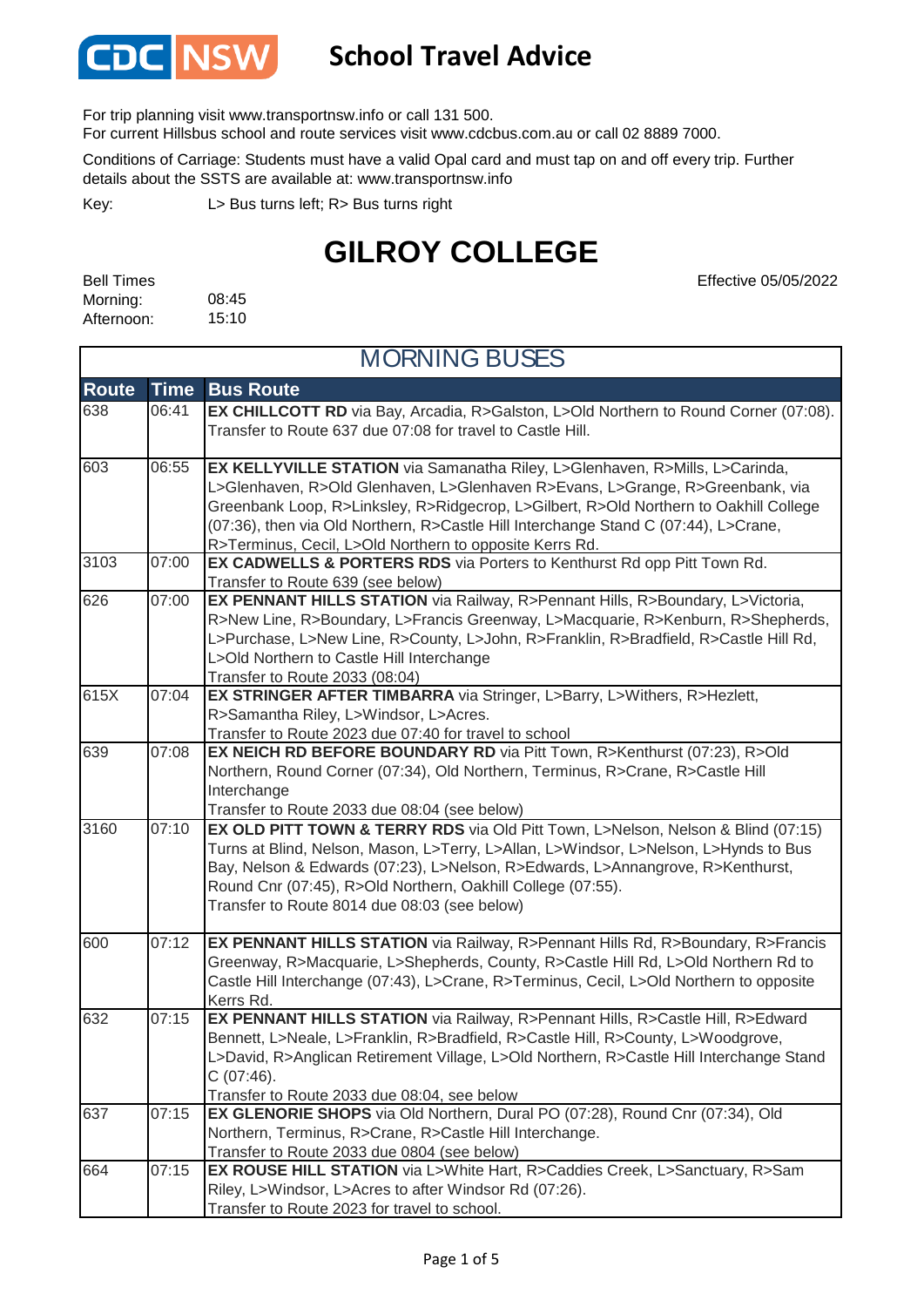

#### **School Travel Advice**

For trip planning visit www.transportnsw.info or call 131 500.

For current Hillsbus school and route services visit www.cdcbus.com.au or call 02 8889 7000.

Conditions of Carriage: Students must have a valid Opal card and must tap on and off every trip. Further details about the SSTS are available at: www.transportnsw.info

L> Bus turns left; R> Bus turns right Key:

### **GILROY COLLEGE**

08:45 15:10 Bell Times Morning: Afternoon:

Effective 05/05/2022

| <b>MORNING BUSES</b> |             |                                                                                                                                                                                                                                                                                                                                                                                                         |
|----------------------|-------------|---------------------------------------------------------------------------------------------------------------------------------------------------------------------------------------------------------------------------------------------------------------------------------------------------------------------------------------------------------------------------------------------------------|
| <b>Route</b>         | <b>Time</b> | <b>Bus Route</b>                                                                                                                                                                                                                                                                                                                                                                                        |
| 638                  | 06:41       | EX CHILLCOTT RD via Bay, Arcadia, R>Galston, L>Old Northern to Round Corner (07:08).<br>Transfer to Route 637 due 07:08 for travel to Castle Hill.                                                                                                                                                                                                                                                      |
| 603                  | 06:55       | EX KELLYVILLE STATION via Samanatha Riley, L>Glenhaven, R>Mills, L>Carinda,<br>L>Glenhaven, R>Old Glenhaven, L>Glenhaven R>Evans, L>Grange, R>Greenbank, via<br>Greenbank Loop, R>Linksley, R>Ridgecrop, L>Gilbert, R>Old Northern to Oakhill College<br>(07:36), then via Old Northern, R>Castle Hill Interchange Stand C (07:44), L>Crane,<br>R>Terminus, Cecil, L>Old Northern to opposite Kerrs Rd. |
| 3103                 | 07:00       | EX CADWELLS & PORTERS RDS via Porters to Kenthurst Rd opp Pitt Town Rd.<br>Transfer to Route 639 (see below)                                                                                                                                                                                                                                                                                            |
| 626                  | 07:00       | EX PENNANT HILLS STATION via Railway, R>Pennant Hills, R>Boundary, L>Victoria,<br>R>New Line, R>Boundary, L>Francis Greenway, L>Macquarie, R>Kenburn, R>Shepherds,<br>L>Purchase, L>New Line, R>County, L>John, R>Franklin, R>Bradfield, R>Castle Hill Rd,<br>L>Old Northern to Castle Hill Interchange<br>Transfer to Route 2033 (08:04)                                                               |
| 615X                 | 07:04       | EX STRINGER AFTER TIMBARRA via Stringer, L>Barry, L>Withers, R>Hezlett,<br>R>Samantha Riley, L>Windsor, L>Acres.<br>Transfer to Route 2023 due 07:40 for travel to school                                                                                                                                                                                                                               |
| 639                  | 07:08       | EX NEICH RD BEFORE BOUNDARY RD via Pitt Town, R>Kenthurst (07:23), R>Old<br>Northern, Round Corner (07:34), Old Northern, Terminus, R>Crane, R>Castle Hill<br>Interchange<br>Transfer to Route 2033 due 08:04 (see below)                                                                                                                                                                               |
| 3160                 | 07:10       | EX OLD PITT TOWN & TERRY RDS via Old Pitt Town, L>Nelson, Nelson & Blind (07:15)<br>Turns at Blind, Nelson, Mason, L>Terry, L>Allan, L>Windsor, L>Nelson, L>Hynds to Bus<br>Bay, Nelson & Edwards (07:23), L>Nelson, R>Edwards, L>Annangrove, R>Kenthurst,<br>Round Cnr (07:45), R>Old Northern, Oakhill College (07:55).<br>Transfer to Route 8014 due 08:03 (see below)                               |
| 600                  | 07:12       | EX PENNANT HILLS STATION via Railway, R>Pennant Hills Rd, R>Boundary, R>Francis<br>Greenway, R>Macquarie, L>Shepherds, County, R>Castle Hill Rd, L>Old Northern Rd to<br>Castle Hill Interchange (07:43), L>Crane, R>Terminus, Cecil, L>Old Northern to opposite<br>Kerrs Rd.                                                                                                                           |
| 632                  | 07:15       | EX PENNANT HILLS STATION via Railway, R>Pennant Hills, R>Castle Hill, R>Edward<br>Bennett, L>Neale, L>Franklin, R>Bradfield, R>Castle Hill, R>County, L>Woodgrove,<br>L>David, R>Anglican Retirement Village, L>Old Northern, R>Castle Hill Interchange Stand<br>C (07:46).<br>Transfer to Route 2033 due 08:04, see below                                                                              |
| 637                  | 07:15       | EX GLENORIE SHOPS via Old Northern, Dural PO (07:28), Round Cnr (07:34), Old<br>Northern, Terminus, R>Crane, R>Castle Hill Interchange.<br>Transfer to Route 2033 due 0804 (see below)                                                                                                                                                                                                                  |
| 664                  | 07:15       | EX ROUSE HILL STATION via L>White Hart, R>Caddies Creek, L>Sanctuary, R>Sam<br>Riley, L>Windsor, L>Acres to after Windsor Rd (07:26).<br>Transfer to Route 2023 for travel to school.                                                                                                                                                                                                                   |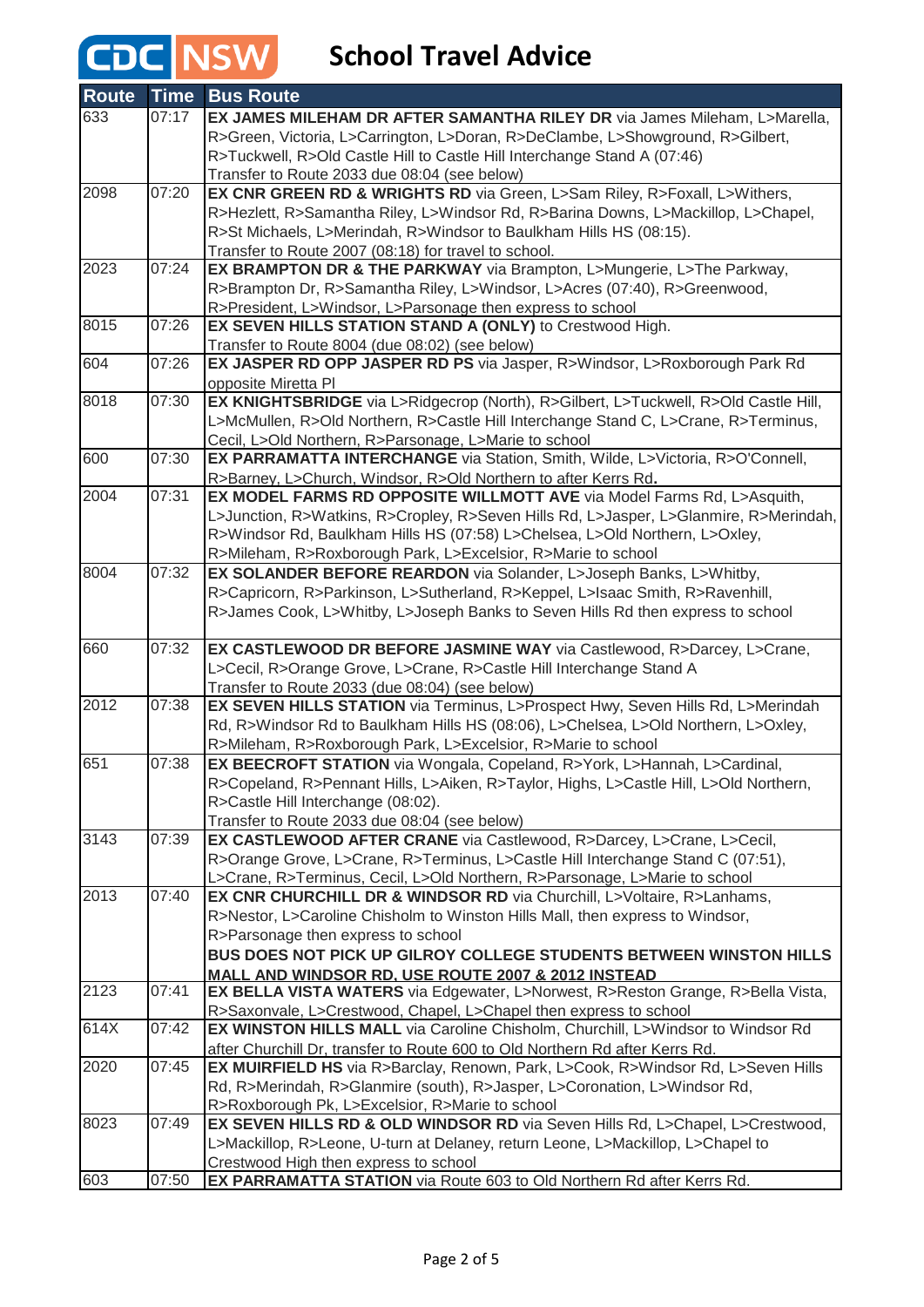| <b>Route</b> | <b>Time</b> | <b>Bus Route</b>                                                                        |
|--------------|-------------|-----------------------------------------------------------------------------------------|
| 633          | 07:17       | EX JAMES MILEHAM DR AFTER SAMANTHA RILEY DR via James Mileham, L>Marella,               |
|              |             | R>Green, Victoria, L>Carrington, L>Doran, R>DeClambe, L>Showground, R>Gilbert,          |
|              |             | R>Tuckwell, R>Old Castle Hill to Castle Hill Interchange Stand A (07:46)                |
|              |             | Transfer to Route 2033 due 08:04 (see below)                                            |
| 2098         | 07:20       | EX CNR GREEN RD & WRIGHTS RD via Green, L>Sam Riley, R>Foxall, L>Withers,               |
|              |             | R>Hezlett, R>Samantha Riley, L>Windsor Rd, R>Barina Downs, L>Mackillop, L>Chapel,       |
|              |             | R>St Michaels, L>Merindah, R>Windsor to Baulkham Hills HS (08:15).                      |
|              |             | Transfer to Route 2007 (08:18) for travel to school.                                    |
| 2023         | 07:24       | EX BRAMPTON DR & THE PARKWAY via Brampton, L>Mungerie, L>The Parkway,                   |
|              |             | R>Brampton Dr, R>Samantha Riley, L>Windsor, L>Acres (07:40), R>Greenwood,               |
|              |             | R>President, L>Windsor, L>Parsonage then express to school                              |
| 8015         | 07:26       | EX SEVEN HILLS STATION STAND A (ONLY) to Crestwood High.                                |
|              |             | Transfer to Route 8004 (due 08:02) (see below)                                          |
| 604          | 07:26       | EX JASPER RD OPP JASPER RD PS via Jasper, R>Windsor, L>Roxborough Park Rd               |
|              |             | opposite Miretta PI                                                                     |
| 8018         | 07:30       | EX KNIGHTSBRIDGE via L>Ridgecrop (North), R>Gilbert, L>Tuckwell, R>Old Castle Hill,     |
|              |             | L>McMullen, R>Old Northern, R>Castle Hill Interchange Stand C, L>Crane, R>Terminus,     |
|              |             | Cecil, L>Old Northern, R>Parsonage, L>Marie to school                                   |
| 600          | 07:30       | EX PARRAMATTA INTERCHANGE via Station, Smith, Wilde, L>Victoria, R>O'Connell,           |
|              |             | R>Barney, L>Church, Windsor, R>Old Northern to after Kerrs Rd.                          |
| 2004         | 07:31       | EX MODEL FARMS RD OPPOSITE WILLMOTT AVE via Model Farms Rd, L>Asquith,                  |
|              |             | L>Junction, R>Watkins, R>Cropley, R>Seven Hills Rd, L>Jasper, L>Glanmire, R>Merindah,   |
|              |             | R>Windsor Rd, Baulkham Hills HS (07:58) L>Chelsea, L>Old Northern, L>Oxley,             |
|              |             | R>Mileham, R>Roxborough Park, L>Excelsior, R>Marie to school                            |
| 8004         | 07:32       | EX SOLANDER BEFORE REARDON via Solander, L>Joseph Banks, L>Whitby,                      |
|              |             | R>Capricorn, R>Parkinson, L>Sutherland, R>Keppel, L>Isaac Smith, R>Ravenhill,           |
|              |             | R>James Cook, L>Whitby, L>Joseph Banks to Seven Hills Rd then express to school         |
|              |             |                                                                                         |
| 660          | 07:32       | EX CASTLEWOOD DR BEFORE JASMINE WAY via Castlewood, R>Darcey, L>Crane,                  |
|              |             | L>Cecil, R>Orange Grove, L>Crane, R>Castle Hill Interchange Stand A                     |
|              |             | Transfer to Route 2033 (due 08:04) (see below)                                          |
| 2012         | 07:38       | EX SEVEN HILLS STATION via Terminus, L>Prospect Hwy, Seven Hills Rd, L>Merindah         |
|              |             | Rd, R>Windsor Rd to Baulkham Hills HS (08:06), L>Chelsea, L>Old Northern, L>Oxley,      |
|              |             | R>Mileham, R>Roxborough Park, L>Excelsior, R>Marie to school                            |
| 651          | 07:38       | EX BEECROFT STATION via Wongala, Copeland, R>York, L>Hannah, L>Cardinal,                |
|              |             | R>Copeland, R>Pennant Hills, L>Aiken, R>Taylor, Highs, L>Castle Hill, L>Old Northern,   |
|              |             | R>Castle Hill Interchange (08:02).                                                      |
|              |             | Transfer to Route 2033 due 08:04 (see below)                                            |
| 3143         | 07:39       | EX CASTLEWOOD AFTER CRANE via Castlewood, R>Darcey, L>Crane, L>Cecil,                   |
|              |             | R>Orange Grove, L>Crane, R>Terminus, L>Castle Hill Interchange Stand C (07:51),         |
|              |             | L>Crane, R>Terminus, Cecil, L>Old Northern, R>Parsonage, L>Marie to school              |
| 2013         | 07:40       | <b>EX CNR CHURCHILL DR &amp; WINDSOR RD via Churchill, L&gt;Voltaire, R&gt;Lanhams,</b> |
|              |             | R>Nestor, L>Caroline Chisholm to Winston Hills Mall, then express to Windsor,           |
|              |             | R>Parsonage then express to school                                                      |
|              |             | BUS DOES NOT PICK UP GILROY COLLEGE STUDENTS BETWEEN WINSTON HILLS                      |
|              |             | MALL AND WINDSOR RD. USE ROUTE 2007 & 2012 INSTEAD                                      |
| 2123         | 07:41       | EX BELLA VISTA WATERS via Edgewater, L>Norwest, R>Reston Grange, R>Bella Vista,         |
|              |             | R>Saxonvale, L>Crestwood, Chapel, L>Chapel then express to school                       |
| 614X         | 07:42       | EX WINSTON HILLS MALL via Caroline Chisholm, Churchill, L>Windsor to Windsor Rd         |
|              |             | after Churchill Dr, transfer to Route 600 to Old Northern Rd after Kerrs Rd.            |
| 2020         | 07:45       | EX MUIRFIELD HS via R>Barclay, Renown, Park, L>Cook, R>Windsor Rd, L>Seven Hills        |
|              |             | Rd, R>Merindah, R>Glanmire (south), R>Jasper, L>Coronation, L>Windsor Rd,               |
|              |             | R>Roxborough Pk, L>Excelsior, R>Marie to school                                         |
| 8023         | 07:49       | EX SEVEN HILLS RD & OLD WINDSOR RD via Seven Hills Rd, L>Chapel, L>Crestwood,           |
|              |             | L>Mackillop, R>Leone, U-turn at Delaney, return Leone, L>Mackillop, L>Chapel to         |
|              |             | Crestwood High then express to school                                                   |
| 603          | 07:50       | EX PARRAMATTA STATION via Route 603 to Old Northern Rd after Kerrs Rd.                  |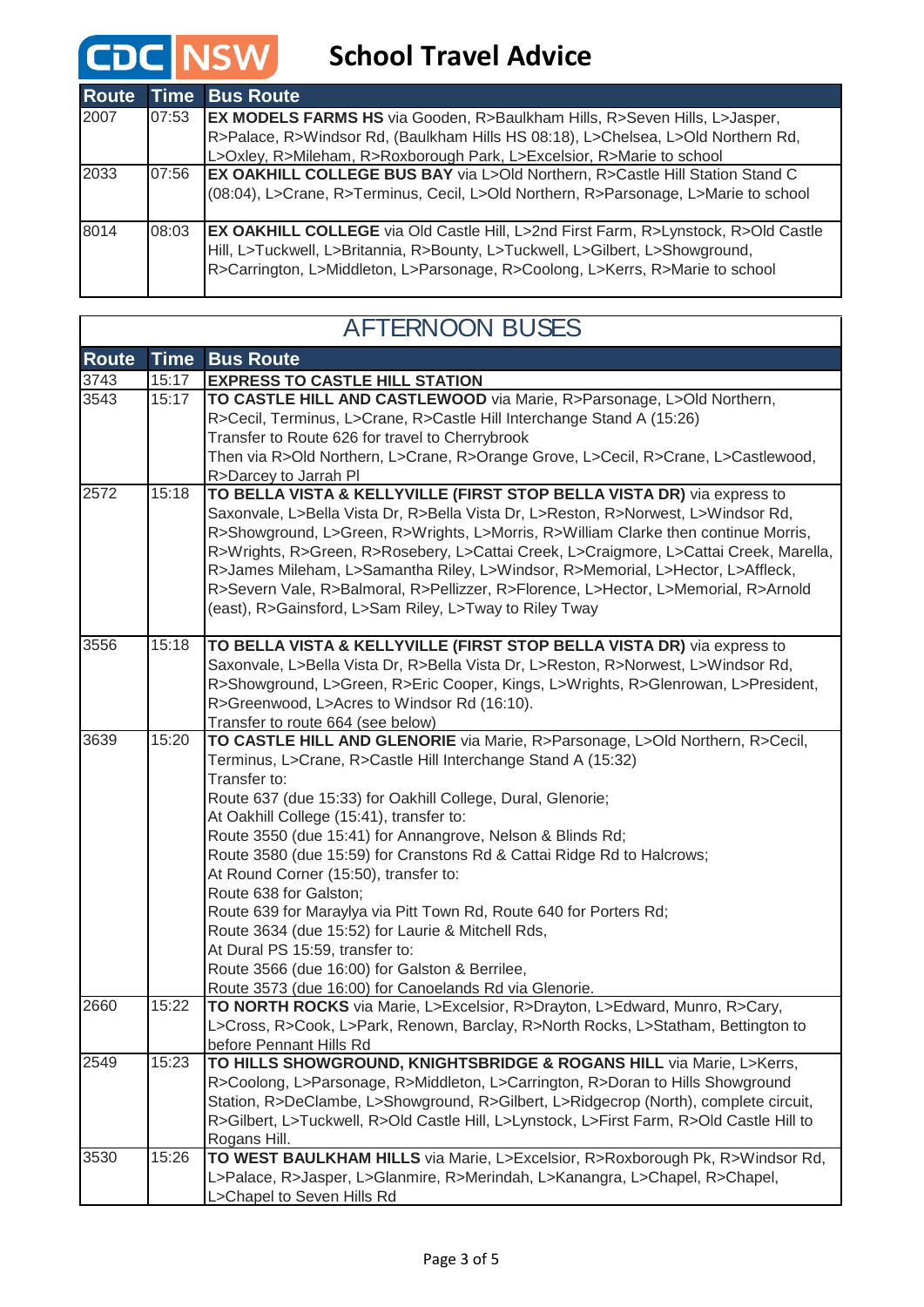| <b>Route</b> |       | <b>Time Bus Route</b>                                                                                                                                                                                                                                       |
|--------------|-------|-------------------------------------------------------------------------------------------------------------------------------------------------------------------------------------------------------------------------------------------------------------|
| 2007         | 07:53 | <b>EX MODELS FARMS HS</b> via Gooden, R>Baulkham Hills, R>Seven Hills, L>Jasper,                                                                                                                                                                            |
|              |       | R>Palace, R>Windsor Rd, (Baulkham Hills HS 08:18), L>Chelsea, L>Old Northern Rd,                                                                                                                                                                            |
|              |       | L>Oxley, R>Mileham, R>Roxborough Park, L>Excelsior, R>Marie to school                                                                                                                                                                                       |
| 2033         | 07:56 | <b>EX OAKHILL COLLEGE BUS BAY via L&gt;Old Northern, R&gt;Castle Hill Station Stand C</b>                                                                                                                                                                   |
|              |       | (08:04), L>Crane, R>Terminus, Cecil, L>Old Northern, R>Parsonage, L>Marie to school                                                                                                                                                                         |
| 8014         | 08:03 | <b>EX OAKHILL COLLEGE</b> via Old Castle Hill, L>2nd First Farm, R>Lynstock, R>Old Castle<br>Hill, L>Tuckwell, L>Britannia, R>Bounty, L>Tuckwell, L>Gilbert, L>Showground,<br>R>Carrington, L>Middleton, L>Parsonage, R>Coolong, L>Kerrs, R>Marie to school |

٦

 $\Gamma$ 

| <b>AFTERNOON BUSES</b> |             |                                                                                                                                                                                                                                                                                                                                                                                                                                                                                                                                                                                                                                                                              |
|------------------------|-------------|------------------------------------------------------------------------------------------------------------------------------------------------------------------------------------------------------------------------------------------------------------------------------------------------------------------------------------------------------------------------------------------------------------------------------------------------------------------------------------------------------------------------------------------------------------------------------------------------------------------------------------------------------------------------------|
| <b>Route</b>           | <b>Time</b> | <b>Bus Route</b>                                                                                                                                                                                                                                                                                                                                                                                                                                                                                                                                                                                                                                                             |
| 3743                   | 15:17       | <b>EXPRESS TO CASTLE HILL STATION</b>                                                                                                                                                                                                                                                                                                                                                                                                                                                                                                                                                                                                                                        |
| 3543                   | 15:17       | TO CASTLE HILL AND CASTLEWOOD via Marie, R>Parsonage, L>Old Northern,<br>R>Cecil, Terminus, L>Crane, R>Castle Hill Interchange Stand A (15:26)                                                                                                                                                                                                                                                                                                                                                                                                                                                                                                                               |
|                        |             | Transfer to Route 626 for travel to Cherrybrook                                                                                                                                                                                                                                                                                                                                                                                                                                                                                                                                                                                                                              |
|                        |             | Then via R>Old Northern, L>Crane, R>Orange Grove, L>Cecil, R>Crane, L>Castlewood,                                                                                                                                                                                                                                                                                                                                                                                                                                                                                                                                                                                            |
|                        |             | R>Darcey to Jarrah Pl                                                                                                                                                                                                                                                                                                                                                                                                                                                                                                                                                                                                                                                        |
| 2572                   | 15:18       | TO BELLA VISTA & KELLYVILLE (FIRST STOP BELLA VISTA DR) via express to<br>Saxonvale, L>Bella Vista Dr, R>Bella Vista Dr, L>Reston, R>Norwest, L>Windsor Rd,<br>R>Showground, L>Green, R>Wrights, L>Morris, R>William Clarke then continue Morris,<br>R>Wrights, R>Green, R>Rosebery, L>Cattai Creek, L>Craigmore, L>Cattai Creek, Marella,<br>R>James Mileham, L>Samantha Riley, L>Windsor, R>Memorial, L>Hector, L>Affleck,<br>R>Severn Vale, R>Balmoral, R>Pellizzer, R>Florence, L>Hector, L>Memorial, R>Arnold<br>(east), R>Gainsford, L>Sam Riley, L>Tway to Riley Tway                                                                                                 |
|                        |             |                                                                                                                                                                                                                                                                                                                                                                                                                                                                                                                                                                                                                                                                              |
| 3556                   | 15:18       | TO BELLA VISTA & KELLYVILLE (FIRST STOP BELLA VISTA DR) via express to<br>Saxonvale, L>Bella Vista Dr, R>Bella Vista Dr, L>Reston, R>Norwest, L>Windsor Rd,<br>R>Showground, L>Green, R>Eric Cooper, Kings, L>Wrights, R>Glenrowan, L>President,<br>R>Greenwood, L>Acres to Windsor Rd (16:10).<br>Transfer to route 664 (see below)                                                                                                                                                                                                                                                                                                                                         |
| 3639                   | 15:20       | TO CASTLE HILL AND GLENORIE via Marie, R>Parsonage, L>Old Northern, R>Cecil,                                                                                                                                                                                                                                                                                                                                                                                                                                                                                                                                                                                                 |
| 2660                   | 15:22       | Terminus, L>Crane, R>Castle Hill Interchange Stand A (15:32)<br>Transfer to:<br>Route 637 (due 15:33) for Oakhill College, Dural, Glenorie;<br>At Oakhill College (15:41), transfer to:<br>Route 3550 (due 15:41) for Annangrove, Nelson & Blinds Rd;<br>Route 3580 (due 15:59) for Cranstons Rd & Cattai Ridge Rd to Halcrows;<br>At Round Corner (15:50), transfer to:<br>Route 638 for Galston;<br>Route 639 for Maraylya via Pitt Town Rd, Route 640 for Porters Rd;<br>Route 3634 (due 15:52) for Laurie & Mitchell Rds,<br>At Dural PS 15:59, transfer to:<br>Route 3566 (due 16:00) for Galston & Berrilee,<br>Route 3573 (due 16:00) for Canoelands Rd via Glenorie. |
|                        |             | TO NORTH ROCKS via Marie, L>Excelsior, R>Drayton, L>Edward, Munro, R>Cary,<br>L>Cross, R>Cook, L>Park, Renown, Barclay, R>North Rocks, L>Statham, Bettington to<br>before Pennant Hills Rd                                                                                                                                                                                                                                                                                                                                                                                                                                                                                   |
| 2549                   | 15:23       | TO HILLS SHOWGROUND, KNIGHTSBRIDGE & ROGANS HILL via Marie, L>Kerrs,<br>R>Coolong, L>Parsonage, R>Middleton, L>Carrington, R>Doran to Hills Showground<br>Station, R>DeClambe, L>Showground, R>Gilbert, L>Ridgecrop (North), complete circuit,<br>R>Gilbert, L>Tuckwell, R>Old Castle Hill, L>Lynstock, L>First Farm, R>Old Castle Hill to<br>Rogans Hill.                                                                                                                                                                                                                                                                                                                   |
| 3530                   | 15:26       | TO WEST BAULKHAM HILLS via Marie, L>Excelsior, R>Roxborough Pk, R>Windsor Rd,<br>L>Palace, R>Jasper, L>Glanmire, R>Merindah, L>Kanangra, L>Chapel, R>Chapel,<br>L>Chapel to Seven Hills Rd                                                                                                                                                                                                                                                                                                                                                                                                                                                                                   |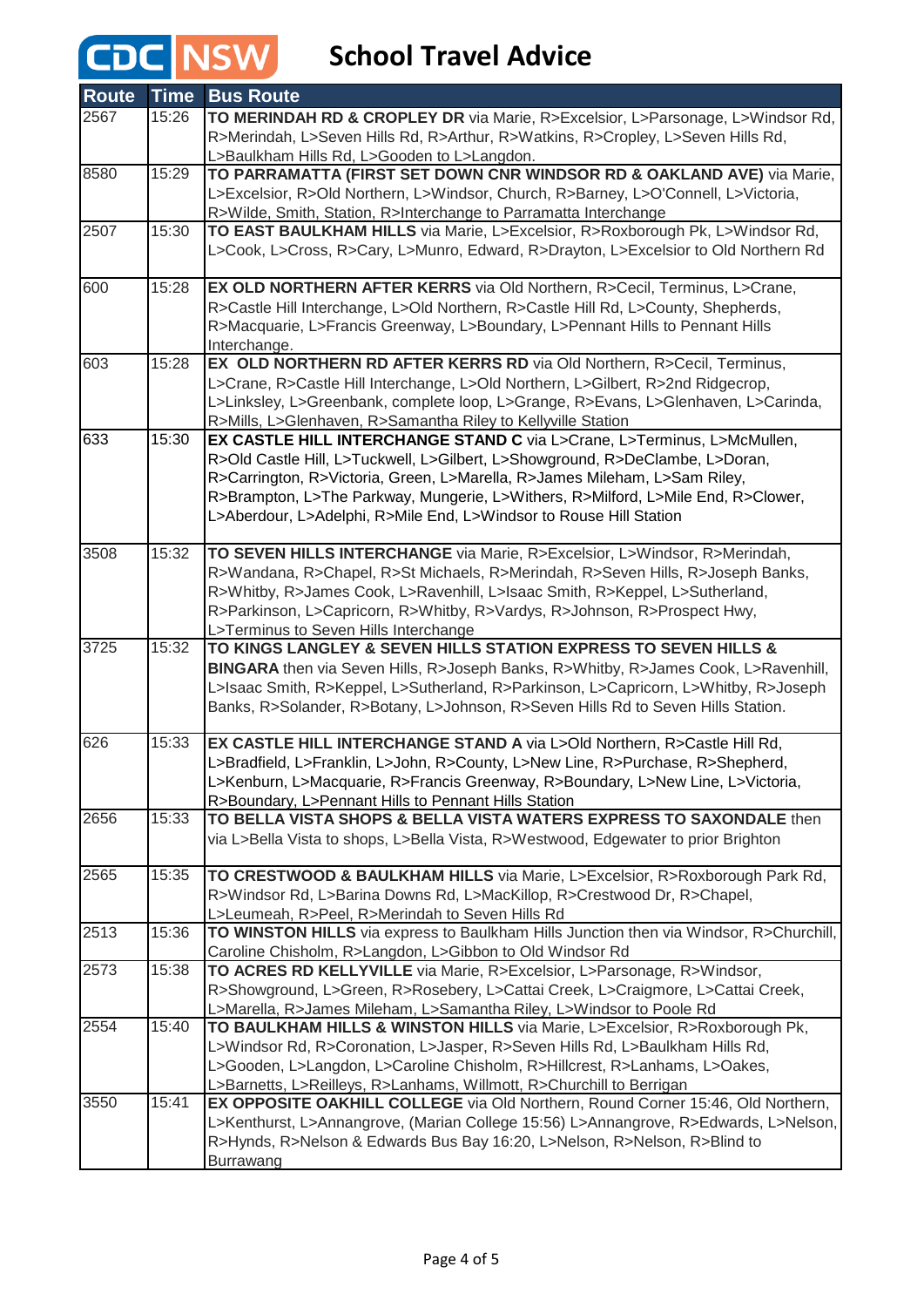| <b>Route</b> | <b>Time</b> | <b>Bus Route</b>                                                                       |
|--------------|-------------|----------------------------------------------------------------------------------------|
| 2567         | 15:26       | TO MERINDAH RD & CROPLEY DR via Marie, R>Excelsior, L>Parsonage, L>Windsor Rd,         |
|              |             | R>Merindah, L>Seven Hills Rd, R>Arthur, R>Watkins, R>Cropley, L>Seven Hills Rd,        |
|              |             | L>Baulkham Hills Rd, L>Gooden to L>Langdon.                                            |
| 8580         | 15:29       | TO PARRAMATTA (FIRST SET DOWN CNR WINDSOR RD & OAKLAND AVE) via Marie,                 |
|              |             | L>Excelsior, R>Old Northern, L>Windsor, Church, R>Barney, L>O'Connell, L>Victoria,     |
|              |             | R>Wilde, Smith, Station, R>Interchange to Parramatta Interchange                       |
| 2507         | 15:30       | TO EAST BAULKHAM HILLS via Marie, L>Excelsior, R>Roxborough Pk, L>Windsor Rd,          |
|              |             | L>Cook, L>Cross, R>Cary, L>Munro, Edward, R>Drayton, L>Excelsior to Old Northern Rd    |
| 600          | 15:28       | EX OLD NORTHERN AFTER KERRS via Old Northern, R>Cecil, Terminus, L>Crane,              |
|              |             | R>Castle Hill Interchange, L>Old Northern, R>Castle Hill Rd, L>County, Shepherds,      |
|              |             | R>Macquarie, L>Francis Greenway, L>Boundary, L>Pennant Hills to Pennant Hills          |
|              |             | Interchange.                                                                           |
| 603          | 15:28       | EX OLD NORTHERN RD AFTER KERRS RD via Old Northern, R>Cecil, Terminus,                 |
|              |             | L>Crane, R>Castle Hill Interchange, L>Old Northern, L>Gilbert, R>2nd Ridgecrop,        |
|              |             | L>Linksley, L>Greenbank, complete loop, L>Grange, R>Evans, L>Glenhaven, L>Carinda,     |
|              |             | R>Mills, L>Glenhaven, R>Samantha Riley to Kellyville Station                           |
| 633          | 15:30       | EX CASTLE HILL INTERCHANGE STAND C via L>Crane, L>Terminus, L>McMullen,                |
|              |             | R>Old Castle Hill, L>Tuckwell, L>Gilbert, L>Showground, R>DeClambe, L>Doran,           |
|              |             | R>Carrington, R>Victoria, Green, L>Marella, R>James Mileham, L>Sam Riley,              |
|              |             | R>Brampton, L>The Parkway, Mungerie, L>Withers, R>Milford, L>Mile End, R>Clower,       |
|              |             | L>Aberdour, L>Adelphi, R>Mile End, L>Windsor to Rouse Hill Station                     |
| 3508         | 15:32       | TO SEVEN HILLS INTERCHANGE via Marie, R>Excelsior, L>Windsor, R>Merindah,              |
|              |             | R>Wandana, R>Chapel, R>St Michaels, R>Merindah, R>Seven Hills, R>Joseph Banks,         |
|              |             | R>Whitby, R>James Cook, L>Ravenhill, L>Isaac Smith, R>Keppel, L>Sutherland,            |
|              |             | R>Parkinson, L>Capricorn, R>Whitby, R>Vardys, R>Johnson, R>Prospect Hwy,               |
|              |             | L>Terminus to Seven Hills Interchange                                                  |
| 3725         | 15:32       | TO KINGS LANGLEY & SEVEN HILLS STATION EXPRESS TO SEVEN HILLS &                        |
|              |             | BINGARA then via Seven Hills, R>Joseph Banks, R>Whitby, R>James Cook, L>Ravenhill,     |
|              |             | L>Isaac Smith, R>Keppel, L>Sutherland, R>Parkinson, L>Capricorn, L>Whitby, R>Joseph    |
|              |             | Banks, R>Solander, R>Botany, L>Johnson, R>Seven Hills Rd to Seven Hills Station.       |
| 626          | 15:33       | EX CASTLE HILL INTERCHANGE STAND A via L>Old Northern, R>Castle Hill Rd,               |
|              |             | L>Bradfield, L>Franklin, L>John, R>County, L>New Line, R>Purchase, R>Shepherd,         |
|              |             | L>Kenburn, L>Macquarie, R>Francis Greenway, R>Boundary, L>New Line, L>Victoria,        |
|              |             | R>Boundary, L>Pennant Hills to Pennant Hills Station                                   |
| 2656         | 15:33       | TO BELLA VISTA SHOPS & BELLA VISTA WATERS EXPRESS TO SAXONDALE then                    |
|              |             | via L>Bella Vista to shops, L>Bella Vista, R>Westwood, Edgewater to prior Brighton     |
| 2565         | 15:35       | TO CRESTWOOD & BAULKHAM HILLS via Marie, L>Excelsior, R>Roxborough Park Rd,            |
|              |             | R>Windsor Rd, L>Barina Downs Rd, L>MacKillop, R>Crestwood Dr, R>Chapel,                |
|              |             | L>Leumeah, R>Peel, R>Merindah to Seven Hills Rd                                        |
| 2513         | 15:36       | TO WINSTON HILLS via express to Baulkham Hills Junction then via Windsor, R>Churchill, |
|              |             | Caroline Chisholm, R>Langdon, L>Gibbon to Old Windsor Rd                               |
| 2573         | 15:38       | TO ACRES RD KELLYVILLE via Marie, R>Excelsior, L>Parsonage, R>Windsor,                 |
|              |             | R>Showground, L>Green, R>Rosebery, L>Cattai Creek, L>Craigmore, L>Cattai Creek,        |
|              |             | L>Marella, R>James Mileham, L>Samantha Riley, L>Windsor to Poole Rd                    |
| 2554         | 15:40       | TO BAULKHAM HILLS & WINSTON HILLS via Marie, L>Excelsior, R>Roxborough Pk,             |
|              |             | L>Windsor Rd, R>Coronation, L>Jasper, R>Seven Hills Rd, L>Baulkham Hills Rd,           |
|              |             | L>Gooden, L>Langdon, L>Caroline Chisholm, R>Hillcrest, R>Lanhams, L>Oakes,             |
|              |             | L>Barnetts, L>Reilleys, R>Lanhams, Willmott, R>Churchill to Berrigan                   |
| 3550         | 15:41       | EX OPPOSITE OAKHILL COLLEGE via Old Northern, Round Corner 15:46, Old Northern,        |
|              |             | L>Kenthurst, L>Annangrove, (Marian College 15:56) L>Annangrove, R>Edwards, L>Nelson,   |
|              |             | R>Hynds, R>Nelson & Edwards Bus Bay 16:20, L>Nelson, R>Nelson, R>Blind to              |
|              |             | Burrawang                                                                              |